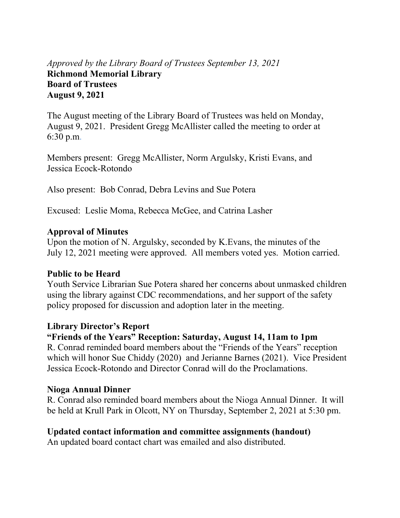# *Approved by the Library Board of Trustees September 13, 2021* **Richmond Memorial Library Board of Trustees August 9, 2021**

The August meeting of the Library Board of Trustees was held on Monday, August 9, 2021. President Gregg McAllister called the meeting to order at 6:30 p.m.

Members present: Gregg McAllister, Norm Argulsky, Kristi Evans, and Jessica Ecock-Rotondo

Also present: Bob Conrad, Debra Levins and Sue Potera

Excused: Leslie Moma, Rebecca McGee, and Catrina Lasher

### **Approval of Minutes**

Upon the motion of N. Argulsky, seconded by K.Evans, the minutes of the July 12, 2021 meeting were approved. All members voted yes. Motion carried.

# **Public to be Heard**

Youth Service Librarian Sue Potera shared her concerns about unmasked children using the library against CDC recommendations, and her support of the safety policy proposed for discussion and adoption later in the meeting.

### **Library Director's Report**

# **"Friends of the Years" Reception: Saturday, August 14, 11am to 1pm**

R. Conrad reminded board members about the "Friends of the Years" reception which will honor Sue Chiddy (2020) and Jerianne Barnes (2021). Vice President Jessica Ecock-Rotondo and Director Conrad will do the Proclamations.

### **Nioga Annual Dinner**

R. Conrad also reminded board members about the Nioga Annual Dinner. It will be held at Krull Park in Olcott, NY on Thursday, September 2, 2021 at 5:30 pm.

# **Updated contact information and committee assignments (handout)**

An updated board contact chart was emailed and also distributed.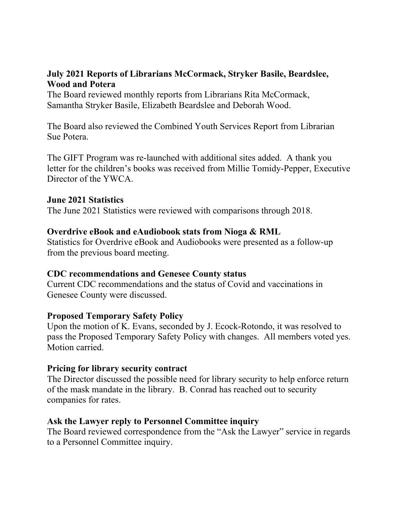## **July 2021 Reports of Librarians McCormack, Stryker Basile, Beardslee, Wood and Potera**

The Board reviewed monthly reports from Librarians Rita McCormack, Samantha Stryker Basile, Elizabeth Beardslee and Deborah Wood.

The Board also reviewed the Combined Youth Services Report from Librarian Sue Potera.

The GIFT Program was re-launched with additional sites added. A thank you letter for the children's books was received from Millie Tomidy-Pepper, Executive Director of the YWCA.

### **June 2021 Statistics**

The June 2021 Statistics were reviewed with comparisons through 2018.

### **Overdrive eBook and eAudiobook stats from Nioga & RML**

Statistics for Overdrive eBook and Audiobooks were presented as a follow-up from the previous board meeting.

### **CDC recommendations and Genesee County status**

Current CDC recommendations and the status of Covid and vaccinations in Genesee County were discussed.

# **Proposed Temporary Safety Policy**

Upon the motion of K. Evans, seconded by J. Ecock-Rotondo, it was resolved to pass the Proposed Temporary Safety Policy with changes. All members voted yes. Motion carried.

### **Pricing for library security contract**

The Director discussed the possible need for library security to help enforce return of the mask mandate in the library. B. Conrad has reached out to security companies for rates.

### **Ask the Lawyer reply to Personnel Committee inquiry**

The Board reviewed correspondence from the "Ask the Lawyer" service in regards to a Personnel Committee inquiry.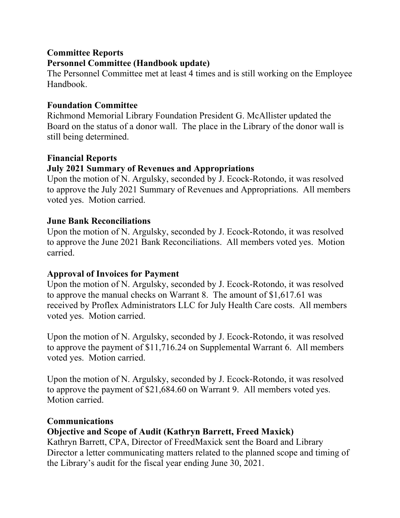# **Committee Reports Personnel Committee (Handbook update)**

The Personnel Committee met at least 4 times and is still working on the Employee Handbook.

# **Foundation Committee**

Richmond Memorial Library Foundation President G. McAllister updated the Board on the status of a donor wall. The place in the Library of the donor wall is still being determined.

# **Financial Reports**

# **July 2021 Summary of Revenues and Appropriations**

Upon the motion of N. Argulsky, seconded by J. Ecock-Rotondo, it was resolved to approve the July 2021 Summary of Revenues and Appropriations. All members voted yes. Motion carried.

# **June Bank Reconciliations**

Upon the motion of N. Argulsky, seconded by J. Ecock-Rotondo, it was resolved to approve the June 2021 Bank Reconciliations. All members voted yes. Motion carried.

# **Approval of Invoices for Payment**

Upon the motion of N. Argulsky, seconded by J. Ecock-Rotondo, it was resolved to approve the manual checks on Warrant 8. The amount of \$1,617.61 was received by Proflex Administrators LLC for July Health Care costs. All members voted yes. Motion carried.

Upon the motion of N. Argulsky, seconded by J. Ecock-Rotondo, it was resolved to approve the payment of \$11,716.24 on Supplemental Warrant 6. All members voted yes. Motion carried.

Upon the motion of N. Argulsky, seconded by J. Ecock-Rotondo, it was resolved to approve the payment of \$21,684.60 on Warrant 9. All members voted yes. Motion carried.

# **Communications**

# **Objective and Scope of Audit (Kathryn Barrett, Freed Maxick)**

Kathryn Barrett, CPA, Director of FreedMaxick sent the Board and Library Director a letter communicating matters related to the planned scope and timing of the Library's audit for the fiscal year ending June 30, 2021.